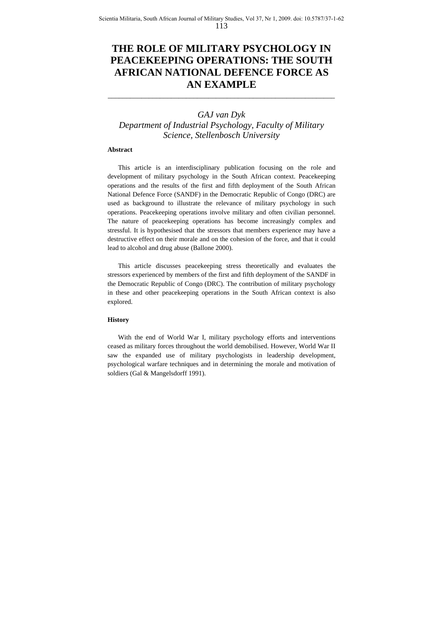# **THE ROLE OF MILITARY PSYCHOLOGY IN PEACEKEEPING OPERATIONS: THE SOUTH AFRICAN NATIONAL DEFENCE FORCE AS AN EXAMPLE**

\_\_\_\_\_\_\_\_\_\_\_\_\_\_\_\_\_\_\_\_\_\_\_\_\_\_\_\_\_\_\_\_\_\_\_\_\_\_\_\_\_\_\_\_\_\_\_\_\_\_\_\_\_\_\_\_\_\_\_\_\_

## *GAJ van Dyk Department of Industrial Psychology, Faculty of Military Science, Stellenbosch University*

## **Abstract**

This article is an interdisciplinary publication focusing on the role and development of military psychology in the South African context. Peacekeeping operations and the results of the first and fifth deployment of the South African National Defence Force (SANDF) in the Democratic Republic of Congo (DRC) are used as background to illustrate the relevance of military psychology in such operations. Peacekeeping operations involve military and often civilian personnel. The nature of peacekeeping operations has become increasingly complex and stressful. It is hypothesised that the stressors that members experience may have a destructive effect on their morale and on the cohesion of the force, and that it could lead to alcohol and drug abuse (Ballone 2000).

This article discusses peacekeeping stress theoretically and evaluates the stressors experienced by members of the first and fifth deployment of the SANDF in the Democratic Republic of Congo (DRC). The contribution of military psychology in these and other peacekeeping operations in the South African context is also explored.

#### **History**

With the end of World War I, military psychology efforts and interventions ceased as military forces throughout the world demobilised. However, World War II saw the expanded use of military psychologists in leadership development, psychological warfare techniques and in determining the morale and motivation of soldiers (Gal & Mangelsdorff 1991).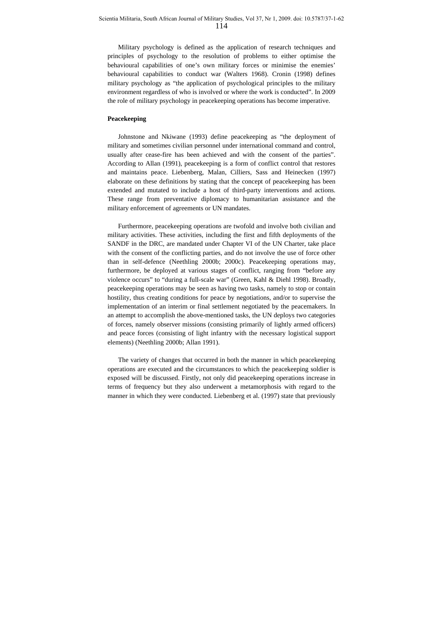Military psychology is defined as the application of research techniques and principles of psychology to the resolution of problems to either optimise the behavioural capabilities of one's own military forces or minimise the enemies' behavioural capabilities to conduct war (Walters 1968). Cronin (1998) defines military psychology as "the application of psychological principles to the military environment regardless of who is involved or where the work is conducted". In 2009 the role of military psychology in peacekeeping operations has become imperative.

## **Peacekeeping**

Johnstone and Nkiwane (1993) define peacekeeping as "the deployment of military and sometimes civilian personnel under international command and control, usually after cease-fire has been achieved and with the consent of the parties". According to Allan (1991), peacekeeping is a form of conflict control that restores and maintains peace. Liebenberg, Malan, Cilliers, Sass and Heinecken (1997) elaborate on these definitions by stating that the concept of peacekeeping has been extended and mutated to include a host of third-party interventions and actions. These range from preventative diplomacy to humanitarian assistance and the military enforcement of agreements or UN mandates.

Furthermore, peacekeeping operations are twofold and involve both civilian and military activities. These activities, including the first and fifth deployments of the SANDF in the DRC, are mandated under Chapter VI of the UN Charter, take place with the consent of the conflicting parties, and do not involve the use of force other than in self-defence (Neethling 2000b; 2000c). Peacekeeping operations may, furthermore, be deployed at various stages of conflict, ranging from "before any violence occurs" to "during a full-scale war" (Green, Kahl & Diehl 1998). Broadly, peacekeeping operations may be seen as having two tasks, namely to stop or contain hostility, thus creating conditions for peace by negotiations, and/or to supervise the implementation of an interim or final settlement negotiated by the peacemakers. In an attempt to accomplish the above-mentioned tasks, the UN deploys two categories of forces, namely observer missions (consisting primarily of lightly armed officers) and peace forces (consisting of light infantry with the necessary logistical support elements) (Neethling 2000b; Allan 1991).

The variety of changes that occurred in both the manner in which peacekeeping operations are executed and the circumstances to which the peacekeeping soldier is exposed will be discussed. Firstly, not only did peacekeeping operations increase in terms of frequency but they also underwent a metamorphosis with regard to the manner in which they were conducted. Liebenberg et al. (1997) state that previously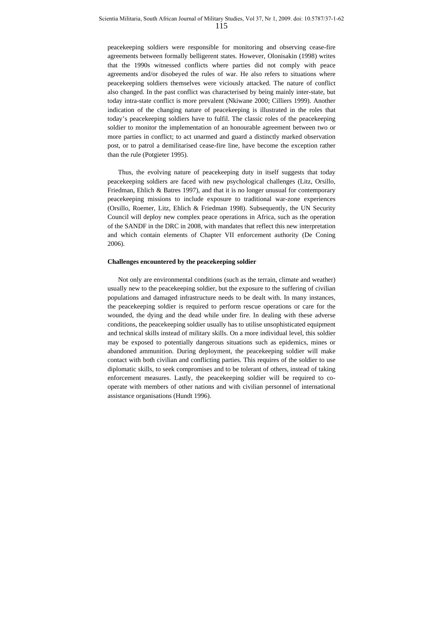peacekeeping soldiers were responsible for monitoring and observing cease-fire agreements between formally belligerent states. However, Olonisakin (1998) writes that the 1990s witnessed conflicts where parties did not comply with peace agreements and/or disobeyed the rules of war. He also refers to situations where peacekeeping soldiers themselves were viciously attacked. The nature of conflict also changed. In the past conflict was characterised by being mainly inter-state, but today intra-state conflict is more prevalent (Nkiwane 2000; Cilliers 1999). Another indication of the changing nature of peacekeeping is illustrated in the roles that today's peacekeeping soldiers have to fulfil. The classic roles of the peacekeeping soldier to monitor the implementation of an honourable agreement between two or more parties in conflict; to act unarmed and guard a distinctly marked observation post, or to patrol a demilitarised cease-fire line, have become the exception rather than the rule (Potgieter 1995).

Thus, the evolving nature of peacekeeping duty in itself suggests that today peacekeeping soldiers are faced with new psychological challenges (Litz, Orsillo, Friedman, Ehlich & Batres 1997), and that it is no longer unusual for contemporary peacekeeping missions to include exposure to traditional war-zone experiences (Orsillo, Roemer, Litz, Ehlich & Friedman 1998). Subsequently, the UN Security Council will deploy new complex peace operations in Africa, such as the operation of the SANDF in the DRC in 2008, with mandates that reflect this new interpretation and which contain elements of Chapter VII enforcement authority (De Coning 2006).

#### **Challenges encountered by the peacekeeping soldier**

Not only are environmental conditions (such as the terrain, climate and weather) usually new to the peacekeeping soldier, but the exposure to the suffering of civilian populations and damaged infrastructure needs to be dealt with. In many instances, the peacekeeping soldier is required to perform rescue operations or care for the wounded, the dying and the dead while under fire. In dealing with these adverse conditions, the peacekeeping soldier usually has to utilise unsophisticated equipment and technical skills instead of military skills. On a more individual level, this soldier may be exposed to potentially dangerous situations such as epidemics, mines or abandoned ammunition. During deployment, the peacekeeping soldier will make contact with both civilian and conflicting parties. This requires of the soldier to use diplomatic skills, to seek compromises and to be tolerant of others, instead of taking enforcement measures. Lastly, the peacekeeping soldier will be required to cooperate with members of other nations and with civilian personnel of international assistance organisations (Hundt 1996).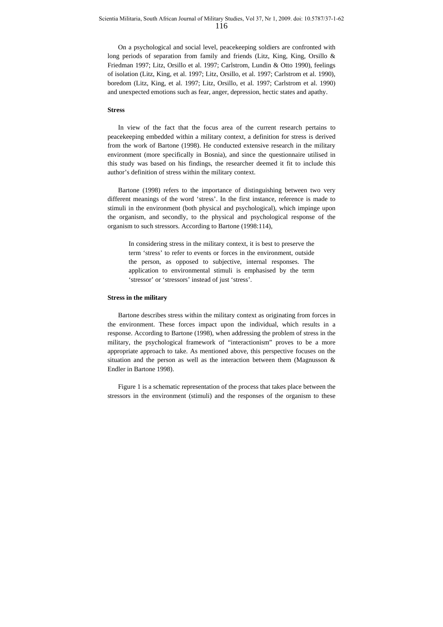On a psychological and social level, peacekeeping soldiers are confronted with long periods of separation from family and friends (Litz, King, King, Orsillo & Friedman 1997; Litz, Orsillo et al. 1997; Carlstrom, Lundin & Otto 1990), feelings of isolation (Litz, King, et al. 1997; Litz, Orsillo, et al. 1997; Carlstrom et al. 1990), boredom (Litz, King, et al. 1997; Litz, Orsillo, et al. 1997; Carlstrom et al. 1990) and unexpected emotions such as fear, anger, depression, hectic states and apathy.

#### **Stress**

In view of the fact that the focus area of the current research pertains to peacekeeping embedded within a military context, a definition for stress is derived from the work of Bartone (1998). He conducted extensive research in the military environment (more specifically in Bosnia), and since the questionnaire utilised in this study was based on his findings, the researcher deemed it fit to include this author's definition of stress within the military context.

Bartone (1998) refers to the importance of distinguishing between two very different meanings of the word 'stress'. In the first instance, reference is made to stimuli in the environment (both physical and psychological), which impinge upon the organism, and secondly, to the physical and psychological response of the organism to such stressors. According to Bartone (1998:114),

In considering stress in the military context, it is best to preserve the term 'stress' to refer to events or forces in the environment, outside the person, as opposed to subjective, internal responses. The application to environmental stimuli is emphasised by the term 'stressor' or 'stressors' instead of just 'stress'.

## **Stress in the military**

Bartone describes stress within the military context as originating from forces in the environment. These forces impact upon the individual, which results in a response. According to Bartone (1998), when addressing the problem of stress in the military, the psychological framework of "interactionism" proves to be a more appropriate approach to take. As mentioned above, this perspective focuses on the situation and the person as well as the interaction between them (Magnusson & Endler in Bartone 1998).

Figure 1 is a schematic representation of the process that takes place between the stressors in the environment (stimuli) and the responses of the organism to these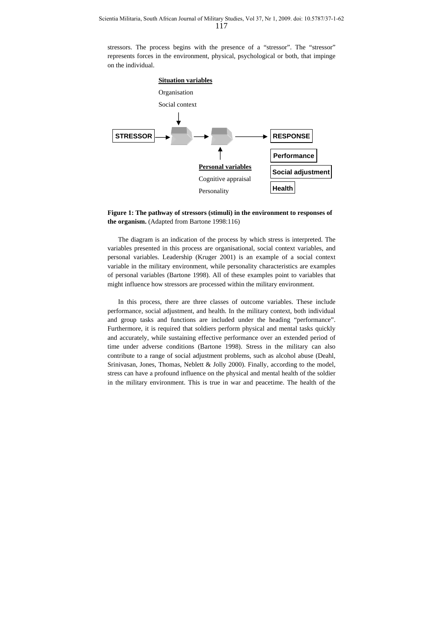stressors. The process begins with the presence of a "stressor". The "stressor" represents forces in the environment, physical, psychological or both, that impinge on the individual.





The diagram is an indication of the process by which stress is interpreted. The variables presented in this process are organisational, social context variables, and personal variables. Leadership (Kruger 2001) is an example of a social context variable in the military environment, while personality characteristics are examples of personal variables (Bartone 1998). All of these examples point to variables that might influence how stressors are processed within the military environment.

In this process, there are three classes of outcome variables. These include performance, social adjustment, and health. In the military context, both individual and group tasks and functions are included under the heading "performance". Furthermore, it is required that soldiers perform physical and mental tasks quickly and accurately, while sustaining effective performance over an extended period of time under adverse conditions (Bartone 1998). Stress in the military can also contribute to a range of social adjustment problems, such as alcohol abuse (Deahl, Srinivasan, Jones, Thomas, Neblett & Jolly 2000). Finally, according to the model, stress can have a profound influence on the physical and mental health of the soldier in the military environment. This is true in war and peacetime. The health of the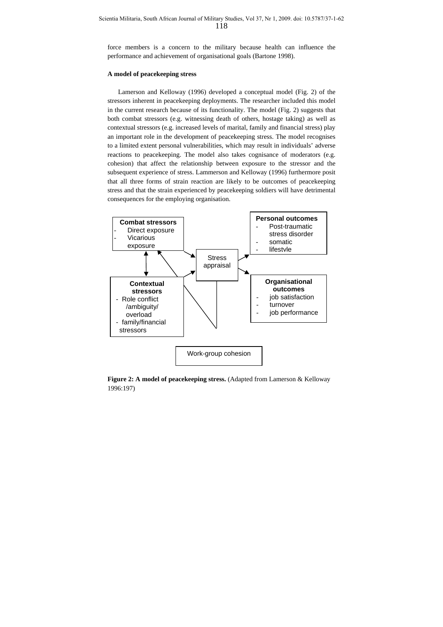force members is a concern to the military because health can influence the performance and achievement of organisational goals (Bartone 1998).

#### **A model of peacekeeping stress**

Lamerson and Kelloway (1996) developed a conceptual model (Fig. 2) of the stressors inherent in peacekeeping deployments. The researcher included this model in the current research because of its functionality. The model (Fig. 2) suggests that both combat stressors (e.g. witnessing death of others, hostage taking) as well as contextual stressors (e.g. increased levels of marital, family and financial stress) play an important role in the development of peacekeeping stress. The model recognises to a limited extent personal vulnerabilities, which may result in individuals' adverse reactions to peacekeeping. The model also takes cognisance of moderators (e.g. cohesion) that affect the relationship between exposure to the stressor and the subsequent experience of stress. Lammerson and Kelloway (1996) furthermore posit that all three forms of strain reaction are likely to be outcomes of peacekeeping stress and that the strain experienced by peacekeeping soldiers will have detrimental consequences for the employing organisation.



**Figure 2: A model of peacekeeping stress.** (Adapted from Lamerson & Kelloway 1996:197)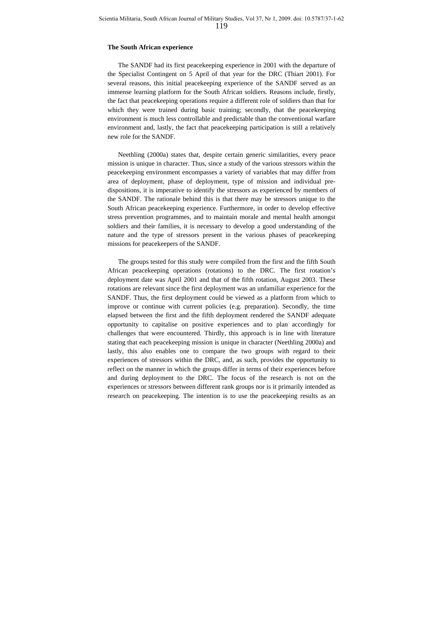#### **The South African experience**

The SANDF had its first peacekeeping experience in 2001 with the departure of the Specialist Contingent on 5 April of that year for the DRC (Thiart 2001). For several reasons, this initial peacekeeping experience of the SANDF served as an immense learning platform for the South African soldiers. Reasons include, firstly, the fact that peacekeeping operations require a different role of soldiers than that for which they were trained during basic training; secondly, that the peacekeeping environment is much less controllable and predictable than the conventional warfare environment and, lastly, the fact that peacekeeping participation is still a relatively new role for the SANDF.

Neethling (2000a) states that, despite certain generic similarities, every peace mission is unique in character. Thus, since a study of the various stressors within the peacekeeping environment encompasses a variety of variables that may differ from area of deployment, phase of deployment, type of mission and individual predispositions, it is imperative to identify the stressors as experienced by members of the SANDF. The rationale behind this is that there may be stressors unique to the South African peacekeeping experience. Furthermore, in order to develop effective stress prevention programmes, and to maintain morale and mental health amongst soldiers and their families, it is necessary to develop a good understanding of the nature and the type of stressors present in the various phases of peacekeeping missions for peacekeepers of the SANDF.

The groups tested for this study were compiled from the first and the fifth South African peacekeeping operations (rotations) to the DRC. The first rotation's deployment date was April 2001 and that of the fifth rotation, August 2003. These rotations are relevant since the first deployment was an unfamiliar experience for the SANDF. Thus, the first deployment could be viewed as a platform from which to improve or continue with current policies (e.g. preparation). Secondly, the time elapsed between the first and the fifth deployment rendered the SANDF adequate opportunity to capitalise on positive experiences and to plan accordingly for challenges that were encountered. Thirdly, this approach is in line with literature stating that each peacekeeping mission is unique in character (Neethling 2000a) and lastly, this also enables one to compare the two groups with regard to their experiences of stressors within the DRC, and, as such, provides the opportunity to reflect on the manner in which the groups differ in terms of their experiences before and during deployment to the DRC. The focus of the research is not on the experiences or stressors between different rank groups nor is it primarily intended as research on peacekeeping. The intention is to use the peacekeeping results as an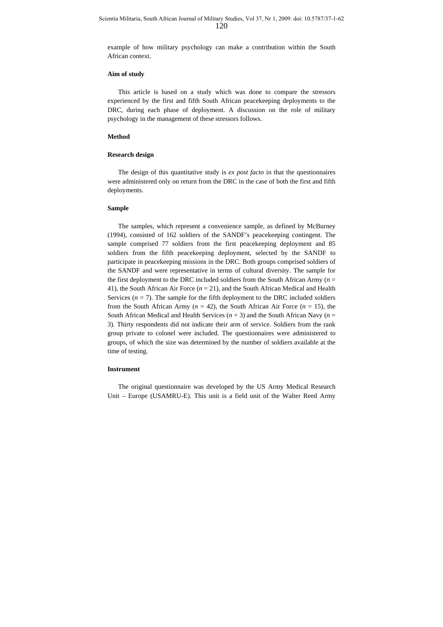example of how military psychology can make a contribution within the South African context.

#### **Aim of study**

This article is based on a study which was done to compare the stressors experienced by the first and fifth South African peacekeeping deployments to the DRC, during each phase of deployment. A discussion on the role of military psychology in the management of these stressors follows.

#### **Method**

## **Research design**

The design of this quantitative study is *ex post facto* in that the questionnaires were administered only on return from the DRC in the case of both the first and fifth deployments.

## **Sample**

The samples, which represent a convenience sample, as defined by McBurney (1994), consisted of 162 soldiers of the SANDF's peacekeeping contingent. The sample comprised 77 soldiers from the first peacekeeping deployment and 85 soldiers from the fifth peacekeeping deployment, selected by the SANDF to participate in peacekeeping missions in the DRC. Both groups comprised soldiers of the SANDF and were representative in terms of cultural diversity. The sample for the first deployment to the DRC included soldiers from the South African Army ( $n =$ 41), the South African Air Force (*n* = 21), and the South African Medical and Health Services  $(n = 7)$ . The sample for the fifth deployment to the DRC included soldiers from the South African Army ( $n = 42$ ), the South African Air Force ( $n = 15$ ), the South African Medical and Health Services ( $n = 3$ ) and the South African Navy ( $n =$ 3). Thirty respondents did not indicate their arm of service. Soldiers from the rank group private to colonel were included. The questionnaires were administered to groups, of which the size was determined by the number of soldiers available at the time of testing.

#### **Instrument**

The original questionnaire was developed by the US Army Medical Research Unit – Europe (USAMRU-E). This unit is a field unit of the Walter Reed Army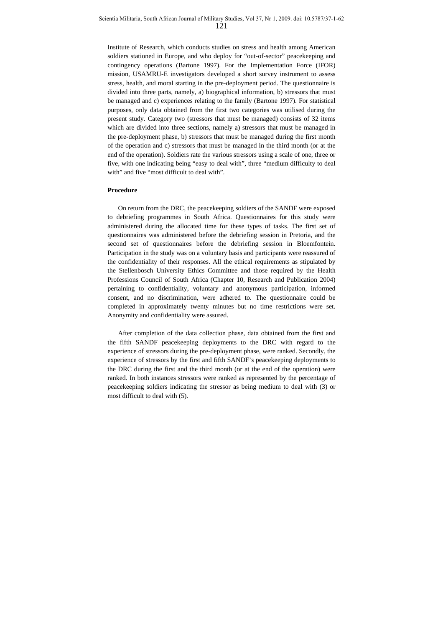Institute of Research, which conducts studies on stress and health among American soldiers stationed in Europe, and who deploy for "out-of-sector" peacekeeping and contingency operations (Bartone 1997). For the Implementation Force (IFOR) mission, USAMRU-E investigators developed a short survey instrument to assess stress, health, and moral starting in the pre-deployment period. The questionnaire is divided into three parts, namely, a) biographical information, b) stressors that must be managed and c) experiences relating to the family (Bartone 1997). For statistical purposes, only data obtained from the first two categories was utilised during the present study. Category two (stressors that must be managed) consists of 32 items which are divided into three sections, namely a) stressors that must be managed in the pre-deployment phase, b) stressors that must be managed during the first month of the operation and c) stressors that must be managed in the third month (or at the end of the operation). Soldiers rate the various stressors using a scale of one, three or five, with one indicating being "easy to deal with", three "medium difficulty to deal with" and five "most difficult to deal with".

## **Procedure**

On return from the DRC, the peacekeeping soldiers of the SANDF were exposed to debriefing programmes in South Africa. Questionnaires for this study were administered during the allocated time for these types of tasks. The first set of questionnaires was administered before the debriefing session in Pretoria, and the second set of questionnaires before the debriefing session in Bloemfontein. Participation in the study was on a voluntary basis and participants were reassured of the confidentiality of their responses. All the ethical requirements as stipulated by the Stellenbosch University Ethics Committee and those required by the Health Professions Council of South Africa (Chapter 10, Research and Publication 2004) pertaining to confidentiality, voluntary and anonymous participation, informed consent, and no discrimination, were adhered to. The questionnaire could be completed in approximately twenty minutes but no time restrictions were set. Anonymity and confidentiality were assured.

After completion of the data collection phase, data obtained from the first and the fifth SANDF peacekeeping deployments to the DRC with regard to the experience of stressors during the pre-deployment phase, were ranked. Secondly, the experience of stressors by the first and fifth SANDF's peacekeeping deployments to the DRC during the first and the third month (or at the end of the operation) were ranked. In both instances stressors were ranked as represented by the percentage of peacekeeping soldiers indicating the stressor as being medium to deal with (3) or most difficult to deal with (5).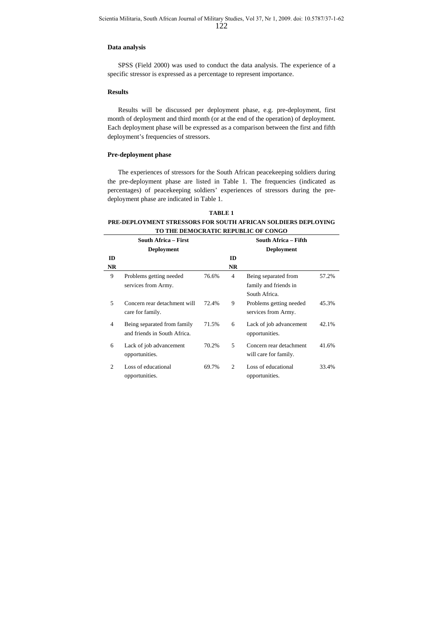#### **Data analysis**

SPSS (Field 2000) was used to conduct the data analysis. The experience of a specific stressor is expressed as a percentage to represent importance.

#### **Results**

Results will be discussed per deployment phase, e.g. pre-deployment, first month of deployment and third month (or at the end of the operation) of deployment. Each deployment phase will be expressed as a comparison between the first and fifth deployment's frequencies of stressors.

## **Pre-deployment phase**

The experiences of stressors for the South African peacekeeping soldiers during the pre-deployment phase are listed in Table 1. The frequencies (indicated as percentages) of peacekeeping soldiers' experiences of stressors during the predeployment phase are indicated in Table 1.

**TABLE 1 PRE-DEPLOYMENT STRESSORS FOR SOUTH AFRICAN SOLDIERS DEPLOYING TO THE DEMOCRATIC REPUBLIC OF CONGO**

|                | <b>South Africa – First</b><br><b>Deployment</b>            |       |                | South Africa – Fifth<br><b>Deployment</b>                      |       |
|----------------|-------------------------------------------------------------|-------|----------------|----------------------------------------------------------------|-------|
| ID             |                                                             |       | ID             |                                                                |       |
| <b>NR</b>      |                                                             |       | <b>NR</b>      |                                                                |       |
| 9              | Problems getting needed<br>services from Army.              | 76.6% | $\overline{4}$ | Being separated from<br>family and friends in<br>South Africa. | 57.2% |
| 5              | Concern rear detachment will<br>care for family.            | 72.4% | 9              | Problems getting needed<br>services from Army.                 | 45.3% |
| $\overline{4}$ | Being separated from family<br>and friends in South Africa. | 71.5% | 6              | Lack of job advancement<br>opportunities.                      | 42.1% |
| 6              | Lack of job advancement<br>opportunities.                   | 70.2% | 5              | Concern rear detachment<br>will care for family.               | 41.6% |
| 2              | Loss of educational<br>opportunities.                       | 69.7% | $\mathfrak{D}$ | Loss of educational<br>opportunities.                          | 33.4% |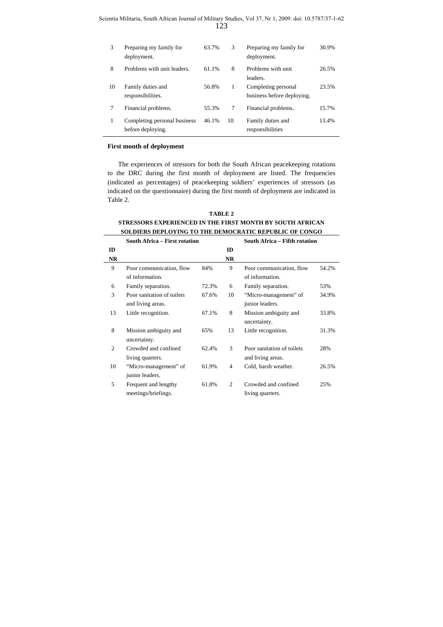| 3  | Preparing my family for<br>deployment.            | 63.7% | 3  | Preparing my family for<br>deployment.            | 30.9% |
|----|---------------------------------------------------|-------|----|---------------------------------------------------|-------|
| 8  | Problems with unit leaders.                       | 61.1% | 8  | Problems with unit<br>leaders.                    | 26.5% |
| 10 | Family duties and<br>responsibilities.            | 56.8% | 1  | Completing personal<br>business before deploying. | 23.5% |
|    | Financial problems.                               | 55.3% | 7  | Financial problems.                               | 15.7% |
|    | Completing personal business<br>before deploying. | 46.1% | 10 | Family duties and<br>responsibilities             | 13.4% |

#### **First month of deployment**

2 Crowded and confined living quarters.

10 "Micro-management" of junior leaders.

5 Frequent and lengthy meetings/briefings.

The experiences of stressors for both the South African peacekeeping rotations to the DRC during the first month of deployment are listed. The frequencies (indicated as percentages) of peacekeeping soldiers' experiences of stressors (as indicated on the questionnaire) during the first month of deployment are indicated in Table 2.

|               | 01 NE00ON0 EAI EINEUCED IN THE FIN9T MONTH DT 000 ITI AFINCAN<br><b>SOLDIERS DEPLOYING TO THE DEMOCRATIC REPUBLIC OF CONGO</b> |       |           |                               |       |  |  |  |
|---------------|--------------------------------------------------------------------------------------------------------------------------------|-------|-----------|-------------------------------|-------|--|--|--|
|               |                                                                                                                                |       |           |                               |       |  |  |  |
|               | <b>South Africa – First rotation</b>                                                                                           |       |           | South Africa – Fifth rotation |       |  |  |  |
| ID            |                                                                                                                                |       | ID        |                               |       |  |  |  |
| NR            |                                                                                                                                |       | <b>NR</b> |                               |       |  |  |  |
| 9             | Poor communication, flow                                                                                                       | 84%   | 9         | Poor communication, flow      | 54.2% |  |  |  |
|               | of information.                                                                                                                |       |           | of information.               |       |  |  |  |
| 6             | Family separation.                                                                                                             | 72.3% | 6         | Family separation.            | 53%   |  |  |  |
| $\mathcal{R}$ | Poor sanitation of toilets                                                                                                     | 67.6% | 10        | "Micro-management" of         | 34.9% |  |  |  |
|               | and living areas.                                                                                                              |       |           | junior leaders.               |       |  |  |  |
| 13            | Little recognition.                                                                                                            | 67.1% | 8         | Mission ambiguity and         | 33.8% |  |  |  |
|               |                                                                                                                                |       |           | uncertainty.                  |       |  |  |  |
| 8             | Mission ambiguity and                                                                                                          | 65%   | 13        | Little recognition.           | 31.3% |  |  |  |
|               | uncertainty.                                                                                                                   |       |           |                               |       |  |  |  |

62.4% 3 Poor sanitation of toilets and living areas.

61.8% 2 Crowded and confined

61.9% 4 Cold, harsh weather. 26.5%

living quarters.

28%

25%

| TABLE 2                                                   |
|-----------------------------------------------------------|
| STRESSORS EXPERIENCED IN THE FIRST MONTH BY SOUTH AFRICAN |
| SOLDIERS DEPLOYING TO THE DEMOCRATIC REPUBLIC OF CONGO    |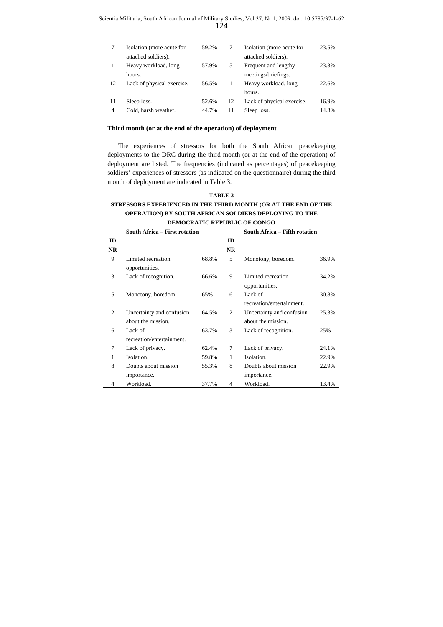| Scientia Militaria, South African Journal of Military Studies, Vol 37, Nr 1, 2009. doi: 10.5787/37-1-62 |  |  |
|---------------------------------------------------------------------------------------------------------|--|--|
|                                                                                                         |  |  |

|    | Isolation (more acute for<br>attached soldiers). | 59.2% |    | Isolation (more acute for<br>attached soldiers). | 23.5% |
|----|--------------------------------------------------|-------|----|--------------------------------------------------|-------|
|    | Heavy workload, long                             | 57.9% | 5  | Frequent and lengthy                             | 23.3% |
|    | hours.                                           |       |    | meetings/briefings.                              |       |
| 12 | Lack of physical exercise.                       | 56.5% | 1  | Heavy workload, long                             | 22.6% |
|    |                                                  |       |    | hours.                                           |       |
| 11 | Sleep loss.                                      | 52.6% | 12 | Lack of physical exercise.                       | 16.9% |
| 4  | Cold, harsh weather.                             | 44.7% | 11 | Sleep loss.                                      | 14.3% |

## **Third month (or at the end of the operation) of deployment**

The experiences of stressors for both the South African peacekeeping deployments to the DRC during the third month (or at the end of the operation) of deployment are listed. The frequencies (indicated as percentages) of peacekeeping soldiers' experiences of stressors (as indicated on the questionnaire) during the third month of deployment are indicated in Table 3.

## **TABLE 3 STRESSORS EXPERIENCED IN THE THIRD MONTH (OR AT THE END OF THE OPERATION) BY SOUTH AFRICAN SOLDIERS DEPLOYING TO THE DEMOCRATIC REPUBLIC OF CONGO**

|           | South Africa – First rotation        |       |           | South Africa – Fifth rotation        |       |  |
|-----------|--------------------------------------|-------|-----------|--------------------------------------|-------|--|
| ID        |                                      |       | ID        |                                      |       |  |
| <b>NR</b> |                                      |       | <b>NR</b> |                                      |       |  |
| 9         | Limited recreation<br>opportunities. | 68.8% | 5         | Monotony, boredom.                   | 36.9% |  |
| 3         | Lack of recognition.                 | 66.6% | 9         | Limited recreation<br>opportunities. | 34.2% |  |
| 5         | Monotony, boredom.                   | 65%   | 6         | Lack of<br>recreation/entertainment. | 30.8% |  |
| 2         | Uncertainty and confusion            | 64.5% | 2         | Uncertainty and confusion            | 25.3% |  |
|           | about the mission.                   |       |           | about the mission.                   |       |  |
| 6         | Lack of                              | 63.7% | 3         | Lack of recognition.                 | 25%   |  |
|           | recreation/entertainment.            |       |           |                                      |       |  |
| 7         | Lack of privacy.                     | 62.4% | 7         | Lack of privacy.                     | 24.1% |  |
| 1         | Isolation.                           | 59.8% | 1         | Isolation.                           | 22.9% |  |
| 8         | Doubts about mission                 | 55.3% | 8         | Doubts about mission                 | 22.9% |  |
|           | importance.                          |       |           | importance.                          |       |  |
| 4         | Workload.                            | 37.7% | 4         | Workload.                            | 13.4% |  |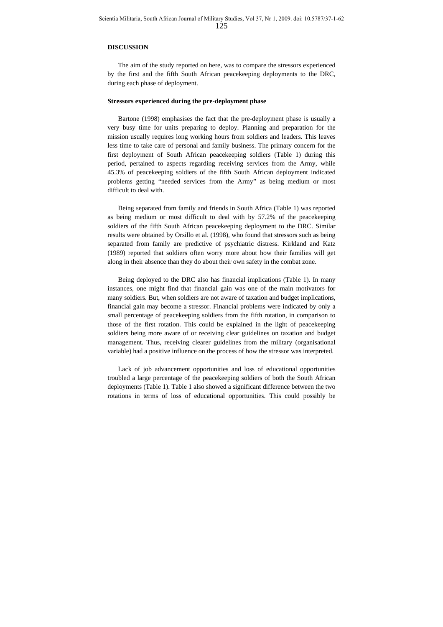### **DISCUSSION**

The aim of the study reported on here, was to compare the stressors experienced by the first and the fifth South African peacekeeping deployments to the DRC, during each phase of deployment.

#### **Stressors experienced during the pre-deployment phase**

Bartone (1998) emphasises the fact that the pre-deployment phase is usually a very busy time for units preparing to deploy. Planning and preparation for the mission usually requires long working hours from soldiers and leaders. This leaves less time to take care of personal and family business. The primary concern for the first deployment of South African peacekeeping soldiers (Table 1) during this period, pertained to aspects regarding receiving services from the Army, while 45.3% of peacekeeping soldiers of the fifth South African deployment indicated problems getting "needed services from the Army" as being medium or most difficult to deal with.

Being separated from family and friends in South Africa (Table 1) was reported as being medium or most difficult to deal with by 57.2% of the peacekeeping soldiers of the fifth South African peacekeeping deployment to the DRC. Similar results were obtained by Orsillo et al. (1998), who found that stressors such as being separated from family are predictive of psychiatric distress. Kirkland and Katz (1989) reported that soldiers often worry more about how their families will get along in their absence than they do about their own safety in the combat zone.

Being deployed to the DRC also has financial implications (Table 1). In many instances, one might find that financial gain was one of the main motivators for many soldiers. But, when soldiers are not aware of taxation and budget implications, financial gain may become a stressor. Financial problems were indicated by only a small percentage of peacekeeping soldiers from the fifth rotation, in comparison to those of the first rotation. This could be explained in the light of peacekeeping soldiers being more aware of or receiving clear guidelines on taxation and budget management. Thus, receiving clearer guidelines from the military (organisational variable) had a positive influence on the process of how the stressor was interpreted.

Lack of job advancement opportunities and loss of educational opportunities troubled a large percentage of the peacekeeping soldiers of both the South African deployments (Table 1). Table 1 also showed a significant difference between the two rotations in terms of loss of educational opportunities. This could possibly be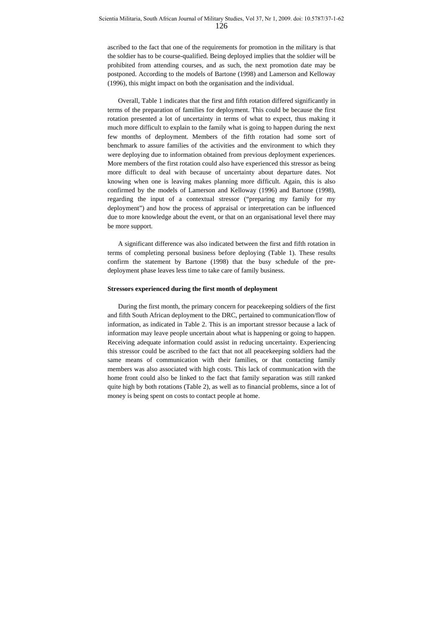ascribed to the fact that one of the requirements for promotion in the military is that the soldier has to be course-qualified. Being deployed implies that the soldier will be prohibited from attending courses, and as such, the next promotion date may be postponed. According to the models of Bartone (1998) and Lamerson and Kelloway (1996), this might impact on both the organisation and the individual.

Overall, Table 1 indicates that the first and fifth rotation differed significantly in terms of the preparation of families for deployment. This could be because the first rotation presented a lot of uncertainty in terms of what to expect, thus making it much more difficult to explain to the family what is going to happen during the next few months of deployment. Members of the fifth rotation had some sort of benchmark to assure families of the activities and the environment to which they were deploying due to information obtained from previous deployment experiences. More members of the first rotation could also have experienced this stressor as being more difficult to deal with because of uncertainty about departure dates. Not knowing when one is leaving makes planning more difficult. Again, this is also confirmed by the models of Lamerson and Kelloway (1996) and Bartone (1998), regarding the input of a contextual stressor ("preparing my family for my deployment") and how the process of appraisal or interpretation can be influenced due to more knowledge about the event, or that on an organisational level there may be more support.

A significant difference was also indicated between the first and fifth rotation in terms of completing personal business before deploying (Table 1). These results confirm the statement by Bartone (1998) that the busy schedule of the predeployment phase leaves less time to take care of family business.

#### **Stressors experienced during the first month of deployment**

During the first month, the primary concern for peacekeeping soldiers of the first and fifth South African deployment to the DRC, pertained to communication/flow of information, as indicated in Table 2. This is an important stressor because a lack of information may leave people uncertain about what is happening or going to happen. Receiving adequate information could assist in reducing uncertainty. Experiencing this stressor could be ascribed to the fact that not all peacekeeping soldiers had the same means of communication with their families, or that contacting family members was also associated with high costs. This lack of communication with the home front could also be linked to the fact that family separation was still ranked quite high by both rotations (Table 2), as well as to financial problems, since a lot of money is being spent on costs to contact people at home.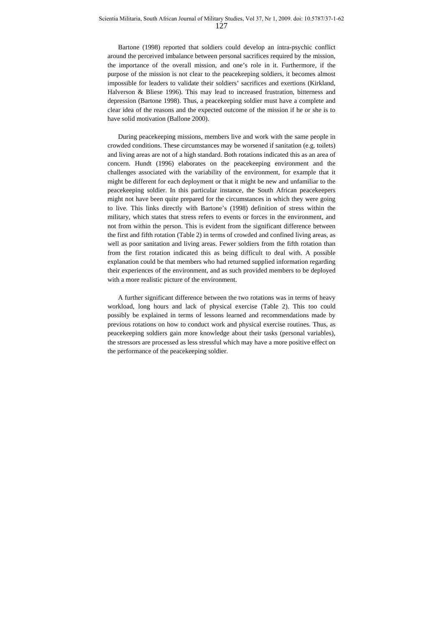Bartone (1998) reported that soldiers could develop an intra-psychic conflict around the perceived imbalance between personal sacrifices required by the mission, the importance of the overall mission, and one's role in it. Furthermore, if the purpose of the mission is not clear to the peacekeeping soldiers, it becomes almost impossible for leaders to validate their soldiers' sacrifices and exertions (Kirkland, Halverson & Bliese 1996). This may lead to increased frustration, bitterness and depression (Bartone 1998). Thus, a peacekeeping soldier must have a complete and clear idea of the reasons and the expected outcome of the mission if he or she is to have solid motivation (Ballone 2000).

During peacekeeping missions, members live and work with the same people in crowded conditions. These circumstances may be worsened if sanitation (e.g. toilets) and living areas are not of a high standard. Both rotations indicated this as an area of concern. Hundt (1996) elaborates on the peacekeeping environment and the challenges associated with the variability of the environment, for example that it might be different for each deployment or that it might be new and unfamiliar to the peacekeeping soldier. In this particular instance, the South African peacekeepers might not have been quite prepared for the circumstances in which they were going to live. This links directly with Bartone's (1998) definition of stress within the military, which states that stress refers to events or forces in the environment, and not from within the person. This is evident from the significant difference between the first and fifth rotation (Table 2) in terms of crowded and confined living areas, as well as poor sanitation and living areas. Fewer soldiers from the fifth rotation than from the first rotation indicated this as being difficult to deal with. A possible explanation could be that members who had returned supplied information regarding their experiences of the environment, and as such provided members to be deployed with a more realistic picture of the environment.

A further significant difference between the two rotations was in terms of heavy workload, long hours and lack of physical exercise (Table 2). This too could possibly be explained in terms of lessons learned and recommendations made by previous rotations on how to conduct work and physical exercise routines. Thus, as peacekeeping soldiers gain more knowledge about their tasks (personal variables), the stressors are processed as less stressful which may have a more positive effect on the performance of the peacekeeping soldier.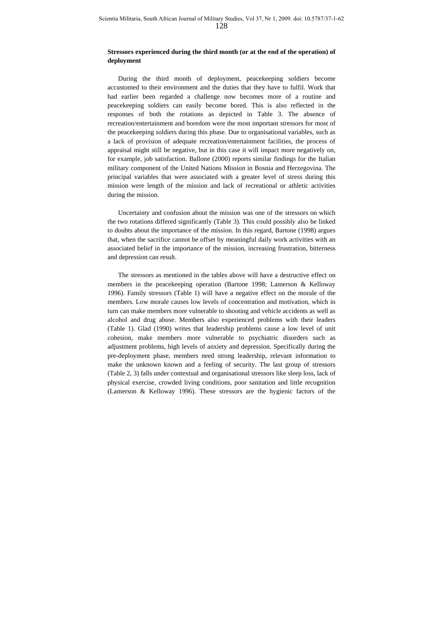## **Stressors experienced during the third month (or at the end of the operation) of deployment**

During the third month of deployment, peacekeeping soldiers become accustomed to their environment and the duties that they have to fulfil. Work that had earlier been regarded a challenge now becomes more of a routine and peacekeeping soldiers can easily become bored. This is also reflected in the responses of both the rotations as depicted in Table 3. The absence of recreation/entertainment and boredom were the most important stressors for most of the peacekeeping soldiers during this phase. Due to organisational variables, such as a lack of provision of adequate recreation/entertainment facilities, the process of appraisal might still be negative, but in this case it will impact more negatively on, for example, job satisfaction. Ballone (2000) reports similar findings for the Italian military component of the United Nations Mission in Bosnia and Herzegovina. The principal variables that were associated with a greater level of stress during this mission were length of the mission and lack of recreational or athletic activities during the mission.

Uncertainty and confusion about the mission was one of the stressors on which the two rotations differed significantly (Table 3). This could possibly also be linked to doubts about the importance of the mission. In this regard, Bartone (1998) argues that, when the sacrifice cannot be offset by meaningful daily work activities with an associated belief in the importance of the mission, increasing frustration, bitterness and depression can result.

The stressors as mentioned in the tables above will have a destructive effect on members in the peacekeeping operation (Bartone 1998; Lamerson & Kelloway 1996). Family stressors (Table 1) will have a negative effect on the morale of the members. Low morale causes low levels of concentration and motivation, which in turn can make members more vulnerable to shooting and vehicle accidents as well as alcohol and drug abuse. Members also experienced problems with their leaders (Table 1). Glad (1990) writes that leadership problems cause a low level of unit cohesion, make members more vulnerable to psychiatric disorders such as adjustment problems, high levels of anxiety and depression. Specifically during the pre-deployment phase, members need strong leadership, relevant information to make the unknown known and a feeling of security. The last group of stressors (Table 2, 3) falls under contextual and organisational stressors like sleep loss, lack of physical exercise, crowded living conditions, poor sanitation and little recognition (Lamerson & Kelloway 1996). These stressors are the hygienic factors of the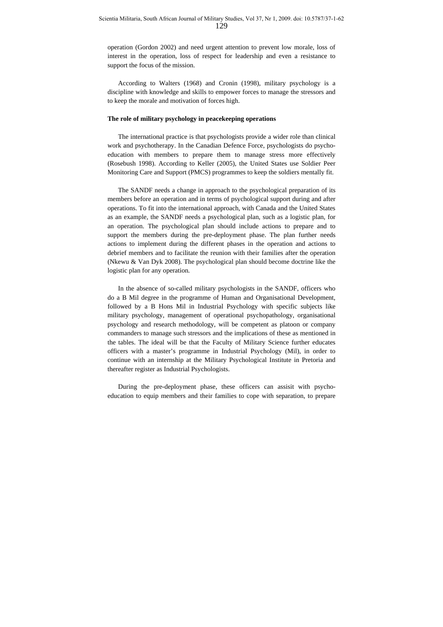operation (Gordon 2002) and need urgent attention to prevent low morale, loss of interest in the operation, loss of respect for leadership and even a resistance to support the focus of the mission.

According to Walters (1968) and Cronin (1998), military psychology is a discipline with knowledge and skills to empower forces to manage the stressors and to keep the morale and motivation of forces high.

#### **The role of military psychology in peacekeeping operations**

The international practice is that psychologists provide a wider role than clinical work and psychotherapy. In the Canadian Defence Force, psychologists do psychoeducation with members to prepare them to manage stress more effectively (Rosebush 1998). According to Keller (2005), the United States use Soldier Peer Monitoring Care and Support (PMCS) programmes to keep the soldiers mentally fit.

The SANDF needs a change in approach to the psychological preparation of its members before an operation and in terms of psychological support during and after operations. To fit into the international approach, with Canada and the United States as an example, the SANDF needs a psychological plan, such as a logistic plan, for an operation. The psychological plan should include actions to prepare and to support the members during the pre-deployment phase. The plan further needs actions to implement during the different phases in the operation and actions to debrief members and to facilitate the reunion with their families after the operation (Nkewu & Van Dyk 2008). The psychological plan should become doctrine like the logistic plan for any operation.

In the absence of so-called military psychologists in the SANDF, officers who do a B Mil degree in the programme of Human and Organisational Development, followed by a B Hons Mil in Industrial Psychology with specific subjects like military psychology, management of operational psychopathology, organisational psychology and research methodology, will be competent as platoon or company commanders to manage such stressors and the implications of these as mentioned in the tables. The ideal will be that the Faculty of Military Science further educates officers with a master's programme in Industrial Psychology (Mil), in order to continue with an internship at the Military Psychological Institute in Pretoria and thereafter register as Industrial Psychologists.

During the pre-deployment phase, these officers can assisit with psychoeducation to equip members and their families to cope with separation, to prepare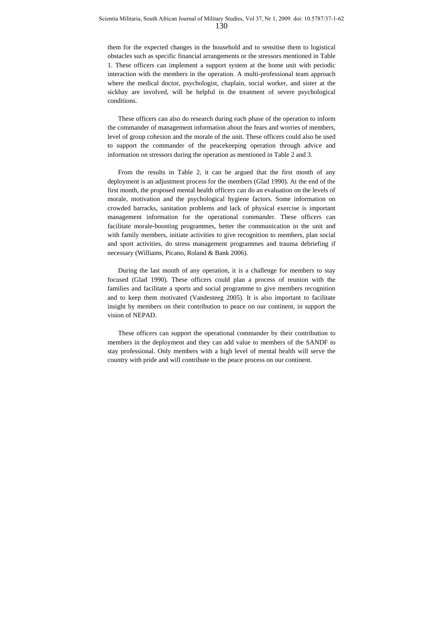them for the expected changes in the household and to sensitise them to logistical obstacles such as specific financial arrangements or the stressors mentioned in Table 1. These officers can implement a support system at the home unit with periodic interaction with the members in the operation. A multi-professional team approach where the medical doctor, psychologist, chaplain, social worker, and sister at the sickbay are involved, will be helpful in the treatment of severe psychological conditions.

These officers can also do research during each phase of the operation to inform the commander of management information about the fears and worries of members, level of group cohesion and the morale of the unit. These officers could also be used to support the commander of the peacekeeping operation through advice and information on stressors during the operation as mentioned in Table 2 and 3.

From the results in Table 2, it can be argued that the first month of any deployment is an adjustment process for the members (Glad 1990). At the end of the first month, the proposed mental health officers can do an evaluation on the levels of morale, motivation and the psychological hygiene factors. Some information on crowded barracks, sanitation problems and lack of physical exercise is important management information for the operational commander. These officers can facilitate morale-boosting programmes, better the communication in the unit and with family members, initiate activities to give recognition to members, plan social and sport activities, do stress management programmes and trauma debriefing if necessary (Williams, Picano, Roland & Bank 2006).

During the last month of any operation, it is a challenge for members to stay focused (Glad 1990). These officers could plan a process of reunion with the families and facilitate a sports and social programme to give members recognition and to keep them motivated (Vandesteeg 2005). It is also important to facilitate insight by members on their contribution to peace on our continent, in support the vision of NEPAD.

These officers can support the operational commander by their contribution to members in the deployment and they can add value to members of the SANDF to stay professional. Only members with a high level of mental health will serve the country with pride and will contribute to the peace process on our continent.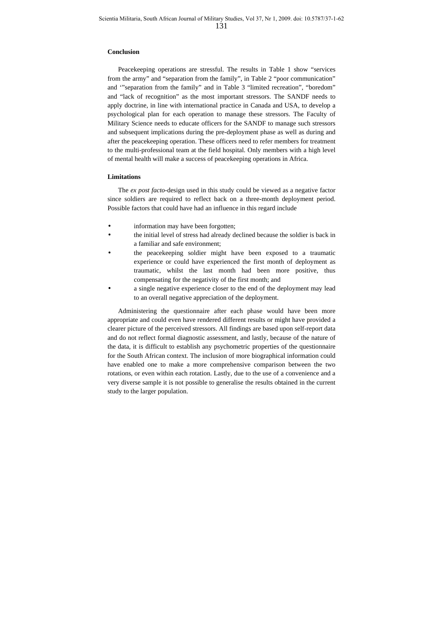#### **Conclusion**

Peacekeeping operations are stressful. The results in Table 1 show "services from the army" and "separation from the family", in Table 2 "poor communication" and '"separation from the family" and in Table 3 "limited recreation", "boredom" and "lack of recognition" as the most important stressors. The SANDF needs to apply doctrine, in line with international practice in Canada and USA, to develop a psychological plan for each operation to manage these stressors. The Faculty of Military Science needs to educate officers for the SANDF to manage such stressors and subsequent implications during the pre-deployment phase as well as during and after the peacekeeping operation. These officers need to refer members for treatment to the multi-professional team at the field hospital. Only members with a high level of mental health will make a success of peacekeeping operations in Africa.

## **Limitations**

The *ex post facto-*design used in this study could be viewed as a negative factor since soldiers are required to reflect back on a three-month deployment period. Possible factors that could have had an influence in this regard include

- information may have been forgotten;
- the initial level of stress had already declined because the soldier is back in a familiar and safe environment;
- the peacekeeping soldier might have been exposed to a traumatic experience or could have experienced the first month of deployment as traumatic, whilst the last month had been more positive, thus compensating for the negativity of the first month; and
- a single negative experience closer to the end of the deployment may lead to an overall negative appreciation of the deployment.

Administering the questionnaire after each phase would have been more appropriate and could even have rendered different results or might have provided a clearer picture of the perceived stressors. All findings are based upon self-report data and do not reflect formal diagnostic assessment, and lastly, because of the nature of the data, it is difficult to establish any psychometric properties of the questionnaire for the South African context. The inclusion of more biographical information could have enabled one to make a more comprehensive comparison between the two rotations, or even within each rotation. Lastly, due to the use of a convenience and a very diverse sample it is not possible to generalise the results obtained in the current study to the larger population.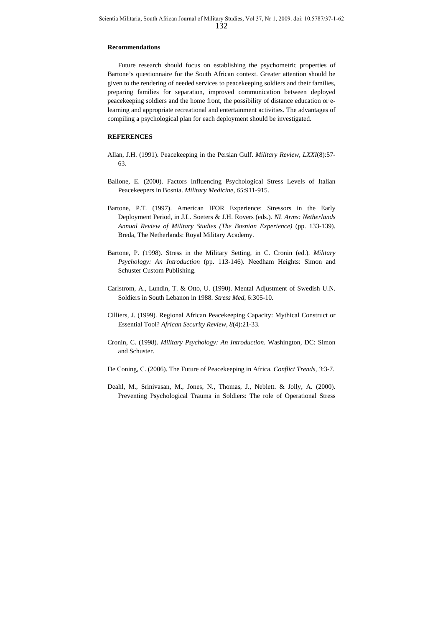#### **Recommendations**

Future research should focus on establishing the psychometric properties of Bartone's questionnaire for the South African context. Greater attention should be given to the rendering of needed services to peacekeeping soldiers and their families, preparing families for separation, improved communication between deployed peacekeeping soldiers and the home front, the possibility of distance education or elearning and appropriate recreational and entertainment activities. The advantages of compiling a psychological plan for each deployment should be investigated.

## **REFERENCES**

- Allan, J.H. (1991). Peacekeeping in the Persian Gulf. *Military Review*, *LXXI*(8):57- 63.
- Ballone, E. (2000). Factors Influencing Psychological Stress Levels of Italian Peacekeepers in Bosnia. *Military Medicine, 65*:911-915.
- Bartone, P.T. (1997). American IFOR Experience: Stressors in the Early Deployment Period, in J.L. Soeters & J.H. Rovers (eds.). *NL Arms: Netherlands Annual Review of Military Studies (The Bosnian Experience)* (pp. 133-139). Breda, The Netherlands: Royal Military Academy.
- Bartone, P. (1998). Stress in the Military Setting, in C. Cronin (ed.). *Military Psychology: An Introduction* (pp. 113-146). Needham Heights: Simon and Schuster Custom Publishing.
- Carlstrom, A., Lundin, T. & Otto, U. (1990). Mental Adjustment of Swedish U.N. Soldiers in South Lebanon in 1988. *Stress Med*, 6:305-10.
- Cilliers, J. (1999). Regional African Peacekeeping Capacity: Mythical Construct or Essential Tool? *African Security Review*, *8*(4):21-33.
- Cronin, C. (1998). *Military Psychology: An Introduction*. Washington, DC: Simon and Schuster.
- De Coning, C. (2006). The Future of Peacekeeping in Africa. *Conflict Trends*, *3*:3-7.
- Deahl, M., Srinivasan, M., Jones, N., Thomas, J., Neblett. & Jolly, A. (2000). Preventing Psychological Trauma in Soldiers: The role of Operational Stress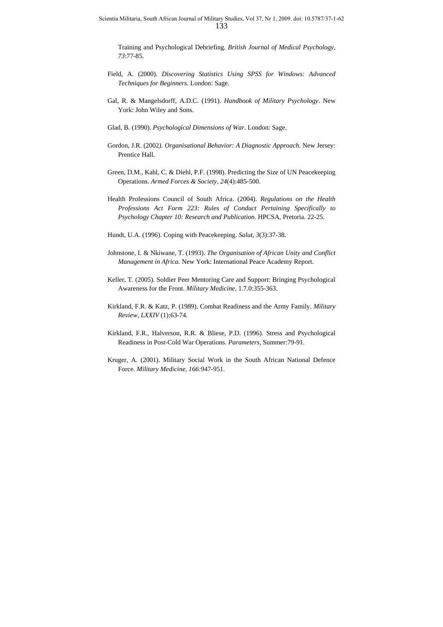Training and Psychological Debriefing. *British Journal of Medical Psychology*, *73*:77-85.

- Field, A. (2000). *Discovering Statistics Using SPSS for Windows: Advanced Techniques for Beginners*. London: Sage.
- Gal, R. & Mangelsdorff, A.D.C. (1991). *Handbook of Military Psychology*. New York: John Wiley and Sons.
- Glad, B. (1990). *Psychological Dimensions of War*. London: Sage.
- Gordon, J.R. (2002*). Organisational Behavior: A Diagnostic Approach*. New Jersey: Prentice Hall.
- Green, D.M., Kahl, C. & Diehl, P.F. (1998). Predicting the Size of UN Peacekeeping Operations. *Armed Forces & Society, 24*(4):485-500.
- Health Professions Council of South Africa. (2004). *Regulations on the Health Professions Act Form 223: Rules of Conduct Pertaining Specifically to Psychology Chapter 10: Research and Publication*. HPCSA, Pretoria. 22-25.
- Hundt, U.A. (1996). Coping with Peacekeeping. *Salut*, *3*(3):37-38.
- Johnstone, I. & Nkiwane, T. (1993). *The Organisation of African Unity and Conflict Management in Africa.* New York: International Peace Academy Report.
- Keller, T. (2005). Soldier Peer Mentoring Care and Support: Bringing Psychological Awareness for the Front. *Military Medicine,* 1.7.0:355-363.
- Kirkland, F.R. & Katz, P. (1989). Combat Readiness and the Army Family. *Military Review, LXXIV* (1):63-74.
- Kirkland, F.R., Halverson, R.R. & Bliese, P.D. (1996). Stress and Psychological Readiness in Post-Cold War Operations. *Parameters,* Summer:79-91.
- Kruger, A. (2001). Military Social Work in the South African National Defence Force. *Military Medicine, 166:*947-951.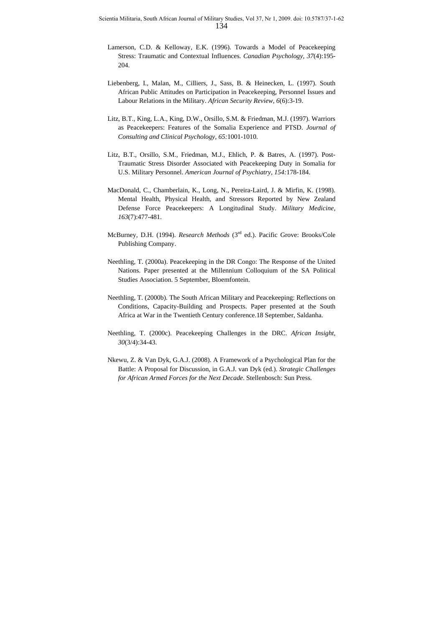- Lamerson, C.D. & Kelloway, E.K. (1996). Towards a Model of Peacekeeping Stress: Traumatic and Contextual Influences. *Canadian Psychology, 37*(4):195- 204.
- Liebenberg, I., Malan, M., Cilliers, J., Sass, B. & Heinecken, L. (1997). South African Public Attitudes on Participation in Peacekeeping, Personnel Issues and Labour Relations in the Military. *African Security Review, 6*(6):3-19.
- Litz, B.T., King, L.A., King, D.W., Orsillo, S.M. & Friedman, M.J. (1997). Warriors as Peacekeepers: Features of the Somalia Experience and PTSD. *Journal of Consulting and Clinical Psychology, 65:*1001-1010.
- Litz, B.T., Orsillo, S.M., Friedman, M.J., Ehlich, P. & Batres, A. (1997). Post-Traumatic Stress Disorder Associated with Peacekeeping Duty in Somalia for U.S. Military Personnel. *American Journal of Psychiatry, 154:*178-184.
- MacDonald, C., Chamberlain, K., Long, N., Pereira-Laird, J. & Mirfin, K. (1998). Mental Health, Physical Health, and Stressors Reported by New Zealand Defense Force Peacekeepers: A Longitudinal Study. *Military Medicine, 163*(7):477-481.
- McBurney, D.H. (1994). *Research Methods* (3rd ed.). Pacific Grove: Brooks/Cole Publishing Company.
- Neethling, T. (2000a). Peacekeeping in the DR Congo: The Response of the United Nations. Paper presented at the Millennium Colloquium of the SA Political Studies Association. 5 September, Bloemfontein.
- Neethling, T. (2000b). The South African Military and Peacekeeping: Reflections on Conditions, Capacity-Building and Prospects. Paper presented at the South Africa at War in the Twentieth Century conference.18 September, Saldanha.
- Neethling, T. (2000c). Peacekeeping Challenges in the DRC. *African Insight, 30*(3/4):34-43.
- Nkewu, Z. & Van Dyk, G.A.J. (2008). A Framework of a Psychological Plan for the Battle: A Proposal for Discussion, in G.A.J. van Dyk (ed.). *Strategic Challenges for African Armed Forces for the Next Decade*. Stellenbosch: Sun Press.